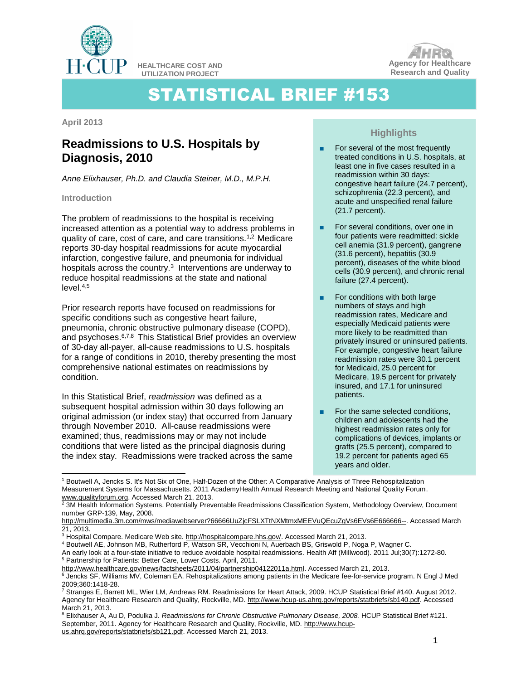

**HEALTHCARE COST AND UTILIZATION PROJECT**



# STATISTICAL BRIEF #153

**April 2013**

## **Readmissions to U.S. Hospitals by Diagnosis, 2010**

*Anne Elixhauser, Ph.D. and Claudia Steiner, M.D., M.P.H.*

#### **Introduction**

l

The problem of readmissions to the hospital is receiving increased attention as a potential way to address problems in quality of care, cost of care, and care transitions.1,2 Medicare reports 30-day hospital readmissions for acute myocardial infarction, congestive failure, and pneumonia for individual hospitals across the country.<sup>3</sup> Interventions are underway to reduce hospital readmissions at the state and national  $level.<sub>4,5</sub>$ 

Prior research reports have focused on readmissions for specific conditions such as congestive heart failure, pneumonia, chronic obstructive pulmonary disease (COPD), and psychoses.6,7,8 This Statistical Brief provides an overview of 30-day all-payer, all-cause readmissions to U.S. hospitals for a range of conditions in 2010, thereby presenting the most comprehensive national estimates on readmissions by condition.

In this Statistical Brief, *readmission* was defined as a subsequent hospital admission within 30 days following an original admission (or index stay) that occurred from January through November 2010. All-cause readmissions were examined; thus, readmissions may or may not include conditions that were listed as the principal diagnosis during the index stay. Readmissions were tracked across the same

### **Highlights**

- For several of the most frequently treated conditions in U.S. hospitals, at least one in five cases resulted in a readmission within 30 days: congestive heart failure (24.7 percent), schizophrenia (22.3 percent), and acute and unspecified renal failure (21.7 percent).
- For several conditions, over one in four patients were readmitted: sickle cell anemia (31.9 percent), gangrene (31.6 percent), hepatitis (30.9 percent), diseases of the white blood cells (30.9 percent), and chronic renal failure (27.4 percent).
- For conditions with both large numbers of stays and high readmission rates, Medicare and especially Medicaid patients were more likely to be readmitted than privately insured or uninsured patients. For example, congestive heart failure readmission rates were 30.1 percent for Medicaid, 25.0 percent for Medicare, 19.5 percent for privately insured, and 17.1 for uninsured patients.
- For the same selected conditions, children and adolescents had the highest readmission rates only for complications of devices, implants or grafts (25.5 percent), compared to 19.2 percent for patients aged 65 years and older.

<sup>4</sup> Boutwell AE, Johnson MB, Rutherford P, Watson SR, Vecchioni N, Auerbach BS, Griswold P, Noga P, Wagner C.

[An early look at a four-state initiative to reduce avoidable hospital readmissions.](http://www.ncbi.nlm.nih.gov/pubmed/21734200) Health Aff (Millwood). 2011 Jul;30(7):1272-80. <sup>5</sup> Partnership for Patients: Better Care, Lower Costs. April, 2011.

<sup>1</sup> Boutwell A, Jencks S. It's Not Six of One, Half-Dozen of the Other: A Comparative Analysis of Three Rehospitalization Measurement Systems for Massachusetts. 2011 AcademyHealth Annual Research Meeting and National Quality Forum. [www.qualityforum.org.](http://www.qualityforum.org/) Accessed March 21, 2013.

<sup>&</sup>lt;sup>2</sup> 3M Health Information Systems. Potentially Preventable Readmissions Classification System, Methodology Overview, Document number GRP-139, May, 2008.

[http://multimedia.3m.com/mws/mediawebserver?66666UuZjcFSLXTtNXMtmxMEEVuQEcuZgVs6EVs6E666666--.](http://multimedia.3m.com/mws/mediawebserver?66666UuZjcFSLXTtNXMtmxMEEVuQEcuZgVs6EVs6E666666--) Accessed March 21, 2013.

<sup>&</sup>lt;sup>3</sup> Hospital Compare. Medicare Web site. [http://hospitalcompare.hhs.gov/.](http://hospitalcompare.hhs.gov/) Accessed March 21, 2013.

[http://www.healthcare.gov/news/factsheets/2011/04/partnership04122011a.html.](http://www.healthcare.gov/news/factsheets/2011/04/partnership04122011a.html) Accessed March 21, 2013.

<sup>&</sup>lt;sup>6</sup> Jencks SF, Williams MV, Coleman EA. Rehospitalizations among patients in the Medicare fee-for-service program. N Engl J Med 2009;360:1418-28.

<sup>7</sup> Stranges E, Barrett ML, Wier LM, Andrews RM. Readmissions for Heart Attack, 2009. HCUP Statistical Brief #140. August 2012. Agency for Healthcare Research and Quality, Rockville, MD. [http://www.hcup-us.ahrq.gov/reports/statbriefs/sb140.pdf.](http://www.hcup-us.ahrq.gov/reports/statbriefs/sb140.pdf) Accessed March 21, 2013.

<sup>8</sup> Elixhauser A, Au D, Podulka J. *Readmissions for Chronic Obstructive Pulmonary Disease, 2008.* HCUP Statistical Brief #121. September, 2011. Agency for Healthcare Research and Quality, Rockville, MD. [http://www.hcup-](http://www.hcup-us.ahrq.gov/reports/statbriefs/sb121.pdf)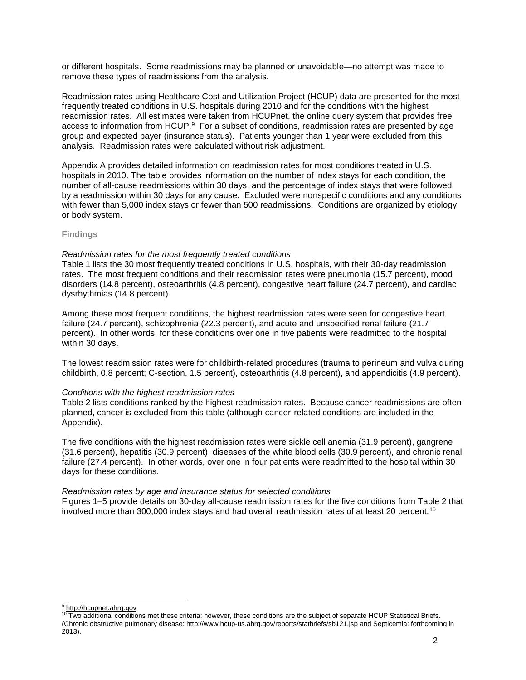or different hospitals. Some readmissions may be planned or unavoidable—no attempt was made to remove these types of readmissions from the analysis.

Readmission rates using Healthcare Cost and Utilization Project (HCUP) data are presented for the most frequently treated conditions in U.S. hospitals during 2010 and for the conditions with the highest readmission rates. All estimates were taken from HCUPnet, the online query system that provides free access to information from HCUP.<sup>9</sup> For a subset of conditions, readmission rates are presented by age group and expected payer (insurance status). Patients younger than 1 year were excluded from this analysis. Readmission rates were calculated without risk adjustment.

Appendix A provides detailed information on readmission rates for most conditions treated in U.S. hospitals in 2010. The table provides information on the number of index stays for each condition, the number of all-cause readmissions within 30 days, and the percentage of index stays that were followed by a readmission within 30 days for any cause. Excluded were nonspecific conditions and any conditions with fewer than 5,000 index stays or fewer than 500 readmissions. Conditions are organized by etiology or body system.

#### **Findings**

#### *Readmission rates for the most frequently treated conditions*

Table 1 lists the 30 most frequently treated conditions in U.S. hospitals, with their 30-day readmission rates. The most frequent conditions and their readmission rates were pneumonia (15.7 percent), mood disorders (14.8 percent), osteoarthritis (4.8 percent), congestive heart failure (24.7 percent), and cardiac dysrhythmias (14.8 percent).

Among these most frequent conditions, the highest readmission rates were seen for congestive heart failure (24.7 percent), schizophrenia (22.3 percent), and acute and unspecified renal failure (21.7 percent). In other words, for these conditions over one in five patients were readmitted to the hospital within 30 days.

The lowest readmission rates were for childbirth-related procedures (trauma to perineum and vulva during childbirth, 0.8 percent; C-section, 1.5 percent), osteoarthritis (4.8 percent), and appendicitis (4.9 percent).

#### *Conditions with the highest readmission rates*

Table 2 lists conditions ranked by the highest readmission rates. Because cancer readmissions are often planned, cancer is excluded from this table (although cancer-related conditions are included in the Appendix).

The five conditions with the highest readmission rates were sickle cell anemia (31.9 percent), gangrene (31.6 percent), hepatitis (30.9 percent), diseases of the white blood cells (30.9 percent), and chronic renal failure (27.4 percent). In other words, over one in four patients were readmitted to the hospital within 30 days for these conditions.

#### *Readmission rates by age and insurance status for selected conditions*

Figures 1–5 provide details on 30-day all-cause readmission rates for the five conditions from Table 2 that involved more than 300,000 index stays and had overall readmission rates of at least 20 percent.<sup>10</sup>

l 9 http://hcupnet.ahrg.gov

<sup>10</sup> Two additional conditions met these criteria; however, these conditions are the subject of separate HCUP Statistical Briefs. (Chronic obstructive pulmonary disease:<http://www.hcup-us.ahrq.gov/reports/statbriefs/sb121.jsp> and Septicemia: forthcoming in 2013).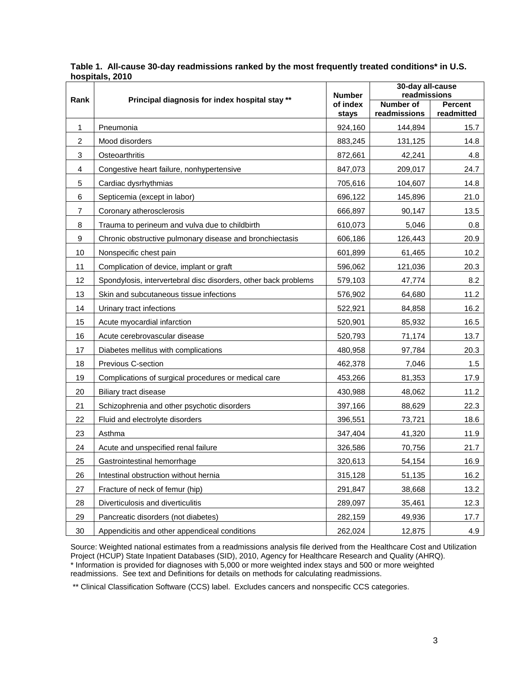|                |                                                                 | <b>Number</b>    | 30-day all-cause<br>readmissions |                              |
|----------------|-----------------------------------------------------------------|------------------|----------------------------------|------------------------------|
| Rank           | Principal diagnosis for index hospital stay **                  | of index         | <b>Number of</b><br>readmissions | <b>Percent</b><br>readmitted |
| 1              | Pneumonia                                                       | stays<br>924,160 | 144,894                          | 15.7                         |
| $\overline{c}$ | Mood disorders                                                  | 883,245          | 131,125                          | 14.8                         |
| 3              | Osteoarthritis                                                  | 872,661          | 42,241                           | 4.8                          |
| 4              | Congestive heart failure, nonhypertensive                       | 847,073          | 209,017                          | 24.7                         |
| 5              | Cardiac dysrhythmias                                            | 705,616          | 104,607                          | 14.8                         |
| 6              | Septicemia (except in labor)                                    | 696,122          | 145,896                          | 21.0                         |
| $\overline{7}$ | Coronary atherosclerosis                                        | 666,897          | 90,147                           | 13.5                         |
| 8              | Trauma to perineum and vulva due to childbirth                  | 610,073          | 5,046                            | 0.8                          |
| 9              | Chronic obstructive pulmonary disease and bronchiectasis        | 606,186          | 126,443                          | 20.9                         |
| 10             | Nonspecific chest pain                                          | 601,899          | 61,465                           | 10.2                         |
| 11             | Complication of device, implant or graft                        | 596,062          | 121,036                          | 20.3                         |
| 12             | Spondylosis, intervertebral disc disorders, other back problems | 579,103          | 47,774                           | 8.2                          |
| 13             | Skin and subcutaneous tissue infections                         | 576,902          | 64,680                           | 11.2                         |
| 14             | Urinary tract infections                                        | 522,921          | 84,858                           | 16.2                         |
| 15             | Acute myocardial infarction                                     | 520,901          | 85,932                           | 16.5                         |
| 16             | Acute cerebrovascular disease                                   | 520,793          | 71,174                           | 13.7                         |
| 17             | Diabetes mellitus with complications                            | 480,958          | 97,784                           | 20.3                         |
| 18             | Previous C-section                                              | 462,378          | 7,046                            | 1.5                          |
| 19             | Complications of surgical procedures or medical care            | 453,266          | 81,353                           | 17.9                         |
| 20             | Biliary tract disease                                           | 430,988          | 48,062                           | 11.2                         |
| 21             | Schizophrenia and other psychotic disorders                     | 397,166          | 88,629                           | 22.3                         |
| 22             | Fluid and electrolyte disorders                                 | 396,551          | 73,721                           | 18.6                         |
| 23             | Asthma                                                          | 347,404          | 41,320                           | 11.9                         |
| 24             | Acute and unspecified renal failure                             | 326,586          | 70,756                           | 21.7                         |
| 25             | Gastrointestinal hemorrhage                                     | 320,613          | 54,154                           | 16.9                         |
| 26             | Intestinal obstruction without hernia                           | 315,128          | 51,135                           | 16.2                         |
| 27             | Fracture of neck of femur (hip)                                 | 291,847          | 38,668                           | 13.2                         |
| 28             | Diverticulosis and diverticulitis                               | 289,097          | 35,461                           | 12.3                         |
| 29             | Pancreatic disorders (not diabetes)                             | 282,159          | 49,936                           | 17.7                         |
| 30             | Appendicitis and other appendiceal conditions                   | 262,024          | 12,875                           | 4.9                          |

**Table 1. All-cause 30-day readmissions ranked by the most frequently treated conditions\* in U.S. hospitals, 2010**

Source: Weighted national estimates from a readmissions analysis file derived from the Healthcare Cost and Utilization Project (HCUP) State Inpatient Databases (SID), 2010, Agency for Healthcare Research and Quality (AHRQ). \* Information is provided for diagnoses with 5,000 or more weighted index stays and 500 or more weighted readmissions. See text and Definitions for details on methods for calculating readmissions.

\*\* Clinical Classification Software (CCS) label. Excludes cancers and nonspecific CCS categories.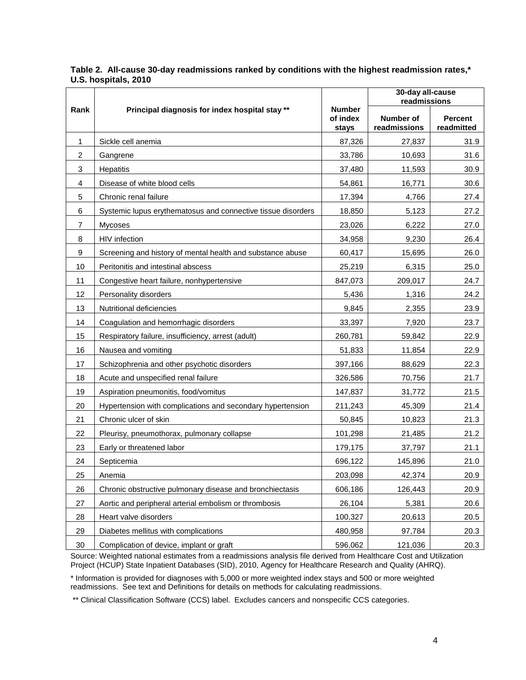|                |                                                              |                                    | 30-day all-cause<br>readmissions |                              |
|----------------|--------------------------------------------------------------|------------------------------------|----------------------------------|------------------------------|
| Rank           | Principal diagnosis for index hospital stay **               | <b>Number</b><br>of index<br>stays | Number of<br>readmissions        | <b>Percent</b><br>readmitted |
| 1              | Sickle cell anemia                                           | 87,326                             | 27,837                           | 31.9                         |
| $\overline{c}$ | Gangrene                                                     | 33,786                             | 10,693                           | 31.6                         |
| 3              | Hepatitis                                                    | 37,480                             | 11,593                           | 30.9                         |
| 4              | Disease of white blood cells                                 | 54,861                             | 16,771                           | 30.6                         |
| 5              | Chronic renal failure                                        | 17,394                             | 4,766                            | 27.4                         |
| 6              | Systemic lupus erythematosus and connective tissue disorders | 18,850                             | 5,123                            | 27.2                         |
| $\overline{7}$ | <b>Mycoses</b>                                               | 23,026                             | 6,222                            | 27.0                         |
| 8              | HIV infection                                                | 34,958                             | 9,230                            | 26.4                         |
| 9              | Screening and history of mental health and substance abuse   | 60,417                             | 15,695                           | 26.0                         |
| 10             | Peritonitis and intestinal abscess                           | 25,219                             | 6,315                            | 25.0                         |
| 11             | Congestive heart failure, nonhypertensive                    | 847,073                            | 209,017                          | 24.7                         |
| 12             | Personality disorders                                        | 5,436                              | 1,316                            | 24.2                         |
| 13             | Nutritional deficiencies                                     | 9,845                              | 2,355                            | 23.9                         |
| 14             | Coagulation and hemorrhagic disorders                        | 33,397                             | 7,920                            | 23.7                         |
| 15             | Respiratory failure, insufficiency, arrest (adult)           | 260,781                            | 59,842                           | 22.9                         |
| 16             | Nausea and vomiting                                          | 51,833                             | 11,854                           | 22.9                         |
| 17             | Schizophrenia and other psychotic disorders                  | 397,166                            | 88,629                           | 22.3                         |
| 18             | Acute and unspecified renal failure                          | 326,586                            | 70,756                           | 21.7                         |
| 19             | Aspiration pneumonitis, food/vomitus                         | 147,837                            | 31,772                           | 21.5                         |
| 20             | Hypertension with complications and secondary hypertension   | 211,243                            | 45,309                           | 21.4                         |
| 21             | Chronic ulcer of skin                                        | 50,845                             | 10,823                           | 21.3                         |
| 22             | Pleurisy, pneumothorax, pulmonary collapse                   | 101,298                            | 21,485                           | 21.2                         |
| 23             | Early or threatened labor                                    | 179,175                            | 37,797                           | 21.1                         |
| 24             | Septicemia                                                   | 696,122                            | 145,896                          | 21.0                         |
| 25             | Anemia                                                       | 203,098                            | 42,374                           | 20.9                         |
| 26             | Chronic obstructive pulmonary disease and bronchiectasis     | 606,186                            | 126,443                          | 20.9                         |
| 27             | Aortic and peripheral arterial embolism or thrombosis        | 26,104                             | 5,381                            | 20.6                         |
| 28             | Heart valve disorders                                        | 100,327                            | 20,613                           | 20.5                         |
| 29             | Diabetes mellitus with complications                         | 480,958                            | 97,784                           | 20.3                         |
| 30             | Complication of device, implant or graft                     | 596,062                            | 121,036                          | 20.3                         |

**Table 2. All-cause 30-day readmissions ranked by conditions with the highest readmission rates,\* U.S. hospitals, 2010**

Source: Weighted national estimates from a readmissions analysis file derived from Healthcare Cost and Utilization Project (HCUP) State Inpatient Databases (SID), 2010, Agency for Healthcare Research and Quality (AHRQ).

\* Information is provided for diagnoses with 5,000 or more weighted index stays and 500 or more weighted readmissions. See text and Definitions for details on methods for calculating readmissions.

\*\* Clinical Classification Software (CCS) label. Excludes cancers and nonspecific CCS categories.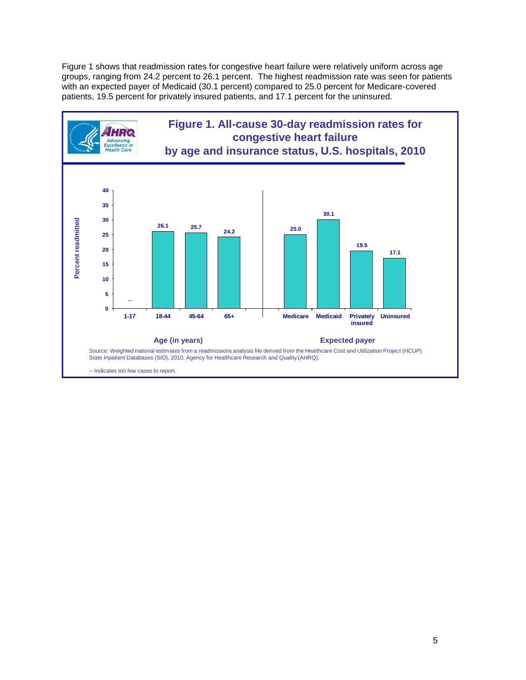Figure 1 shows that readmission rates for congestive heart failure were relatively uniform across age groups, ranging from 24.2 percent to 26.1 percent. The highest readmission rate was seen for patients with an expected payer of Medicaid (30.1 percent) compared to 25.0 percent for Medicare-covered patients, 19.5 percent for privately insured patients, and 17.1 percent for the uninsured.

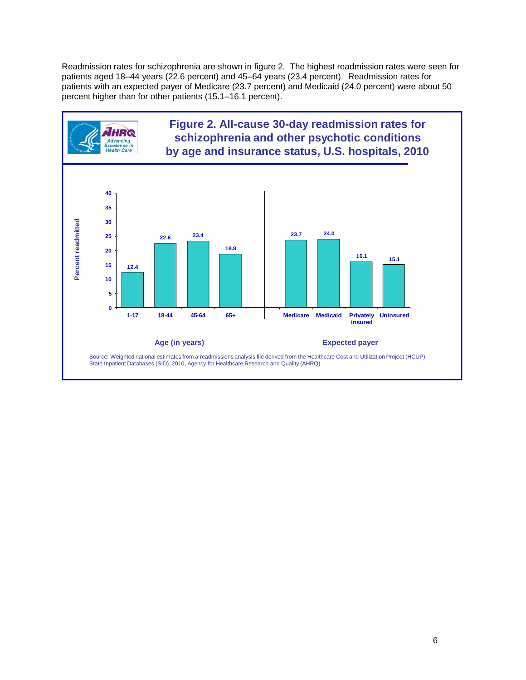Readmission rates for schizophrenia are shown in figure 2. The highest readmission rates were seen for patients aged 18–44 years (22.6 percent) and 45–64 years (23.4 percent). Readmission rates for patients with an expected payer of Medicare (23.7 percent) and Medicaid (24.0 percent) were about 50 percent higher than for other patients (15.1–16.1 percent).

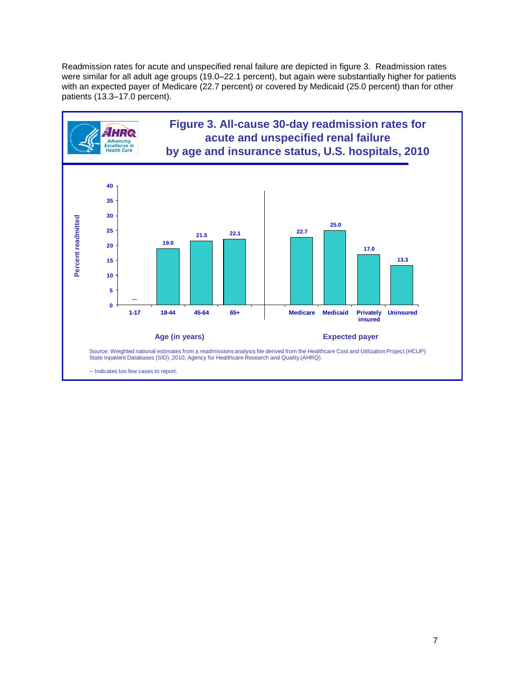Readmission rates for acute and unspecified renal failure are depicted in figure 3. Readmission rates were similar for all adult age groups (19.0–22.1 percent), but again were substantially higher for patients with an expected payer of Medicare (22.7 percent) or covered by Medicaid (25.0 percent) than for other patients (13.3–17.0 percent).

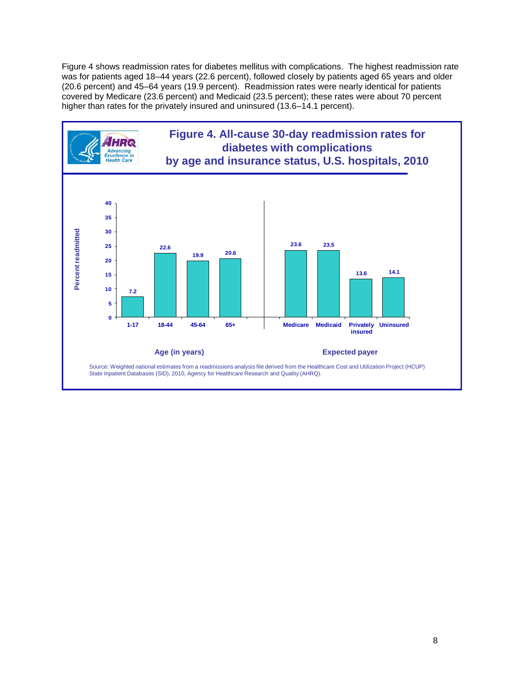Figure 4 shows readmission rates for diabetes mellitus with complications. The highest readmission rate was for patients aged 18–44 years (22.6 percent), followed closely by patients aged 65 years and older (20.6 percent) and 45–64 years (19.9 percent). Readmission rates were nearly identical for patients covered by Medicare (23.6 percent) and Medicaid (23.5 percent); these rates were about 70 percent higher than rates for the privately insured and uninsured (13.6–14.1 percent).

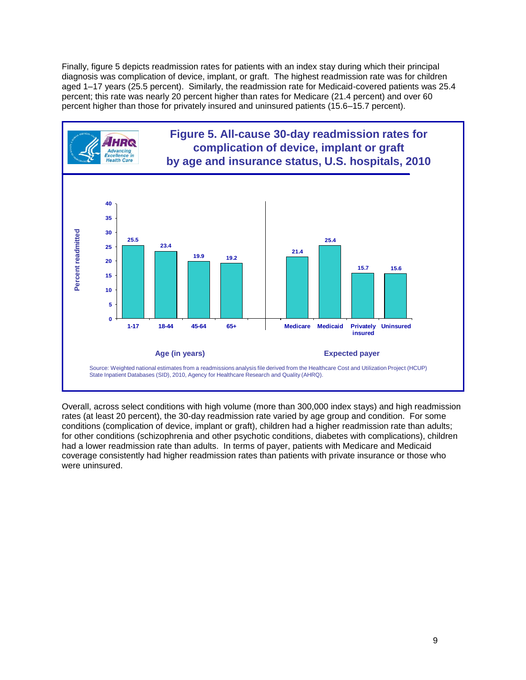Finally, figure 5 depicts readmission rates for patients with an index stay during which their principal diagnosis was complication of device, implant, or graft. The highest readmission rate was for children aged 1–17 years (25.5 percent). Similarly, the readmission rate for Medicaid-covered patients was 25.4 percent; this rate was nearly 20 percent higher than rates for Medicare (21.4 percent) and over 60 percent higher than those for privately insured and uninsured patients (15.6–15.7 percent).



Overall, across select conditions with high volume (more than 300,000 index stays) and high readmission rates (at least 20 percent), the 30-day readmission rate varied by age group and condition. For some conditions (complication of device, implant or graft), children had a higher readmission rate than adults; for other conditions (schizophrenia and other psychotic conditions, diabetes with complications), children had a lower readmission rate than adults. In terms of payer, patients with Medicare and Medicaid coverage consistently had higher readmission rates than patients with private insurance or those who were uninsured.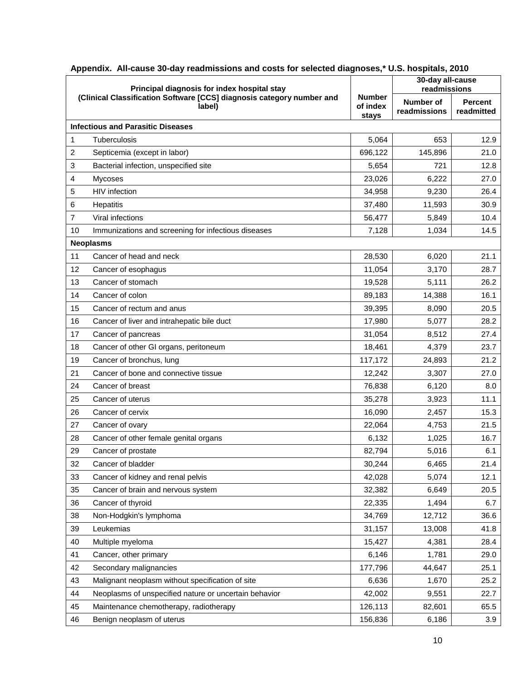| Principal diagnosis for index hospital stay |                                                                                 |                                    | 30-day all-cause<br>readmissions |                              |
|---------------------------------------------|---------------------------------------------------------------------------------|------------------------------------|----------------------------------|------------------------------|
|                                             | (Clinical Classification Software [CCS] diagnosis category number and<br>label) | <b>Number</b><br>of index<br>stays | Number of<br>readmissions        | <b>Percent</b><br>readmitted |
|                                             | <b>Infectious and Parasitic Diseases</b>                                        |                                    |                                  |                              |
| 1                                           | Tuberculosis                                                                    | 5,064                              | 653                              | 12.9                         |
| 2                                           | Septicemia (except in labor)                                                    | 696,122                            | 145,896                          | 21.0                         |
| 3                                           | Bacterial infection, unspecified site                                           | 5,654                              | 721                              | 12.8                         |
| 4                                           | <b>Mycoses</b>                                                                  | 23,026                             | 6,222                            | 27.0                         |
| 5                                           | HIV infection                                                                   | 34,958                             | 9,230                            | 26.4                         |
| 6                                           | Hepatitis                                                                       | 37,480                             | 11,593                           | 30.9                         |
| 7                                           | Viral infections                                                                | 56,477                             | 5,849                            | 10.4                         |
| 10                                          | Immunizations and screening for infectious diseases                             | 7,128                              | 1,034                            | 14.5                         |
|                                             | <b>Neoplasms</b>                                                                |                                    |                                  |                              |
| 11                                          | Cancer of head and neck                                                         | 28,530                             | 6,020                            | 21.1                         |
| 12                                          | Cancer of esophagus                                                             | 11,054                             | 3,170                            | 28.7                         |
| 13                                          | Cancer of stomach                                                               | 19,528                             | 5,111                            | 26.2                         |
| 14                                          | Cancer of colon                                                                 | 89,183                             | 14,388                           | 16.1                         |
| 15                                          | Cancer of rectum and anus                                                       | 39,395                             | 8,090                            | 20.5                         |
| 16                                          | Cancer of liver and intrahepatic bile duct                                      | 17,980                             | 5,077                            | 28.2                         |
| 17                                          | Cancer of pancreas                                                              | 31,054                             | 8,512                            | 27.4                         |
| 18                                          | Cancer of other GI organs, peritoneum                                           | 18,461                             | 4,379                            | 23.7                         |
| 19                                          | Cancer of bronchus, lung                                                        | 117,172                            | 24,893                           | 21.2                         |
| 21                                          | Cancer of bone and connective tissue                                            | 12,242                             | 3,307                            | 27.0                         |
| 24                                          | Cancer of breast                                                                | 76,838                             | 6,120                            | 8.0                          |
| 25                                          | Cancer of uterus                                                                | 35,278                             | 3,923                            | 11.1                         |
| 26                                          | Cancer of cervix                                                                | 16,090                             | 2,457                            | 15.3                         |
| 27                                          | Cancer of ovary                                                                 | 22,064                             | 4,753                            | 21.5                         |
| 28                                          | Cancer of other female genital organs                                           | 6,132                              | 1,025                            | 16.7                         |
| 29                                          | Cancer of prostate                                                              | 82,794                             | 5,016                            | 6.1                          |
| 32                                          | Cancer of bladder                                                               | 30,244                             | 6,465                            | 21.4                         |
| 33                                          | Cancer of kidney and renal pelvis                                               | 42,028                             | 5,074                            | 12.1                         |
| 35                                          | Cancer of brain and nervous system                                              | 32,382                             | 6,649                            | 20.5                         |
| 36                                          | Cancer of thyroid                                                               | 22,335                             | 1,494                            | 6.7                          |
| 38                                          | Non-Hodgkin's lymphoma                                                          | 34,769                             | 12,712                           | 36.6                         |
| 39                                          | Leukemias                                                                       | 31,157                             | 13,008                           | 41.8                         |
| 40                                          | Multiple myeloma                                                                | 15,427                             | 4,381                            | 28.4                         |
| 41                                          | Cancer, other primary                                                           | 6,146                              | 1,781                            | 29.0                         |
| 42                                          | Secondary malignancies                                                          | 177,796                            | 44,647                           | 25.1                         |
| 43                                          | Malignant neoplasm without specification of site                                | 6,636                              | 1,670                            | 25.2                         |
| 44                                          | Neoplasms of unspecified nature or uncertain behavior                           | 42,002                             | 9,551                            | 22.7                         |
| 45                                          | Maintenance chemotherapy, radiotherapy                                          | 126,113                            | 82,601                           | 65.5                         |
| 46                                          | Benign neoplasm of uterus                                                       | 156,836                            | 6,186                            | 3.9                          |

| Appendix. All-cause 30-day readmissions and costs for selected diagnoses,* U.S. hospitals, 2010 |  |  |  |  |  |
|-------------------------------------------------------------------------------------------------|--|--|--|--|--|
|-------------------------------------------------------------------------------------------------|--|--|--|--|--|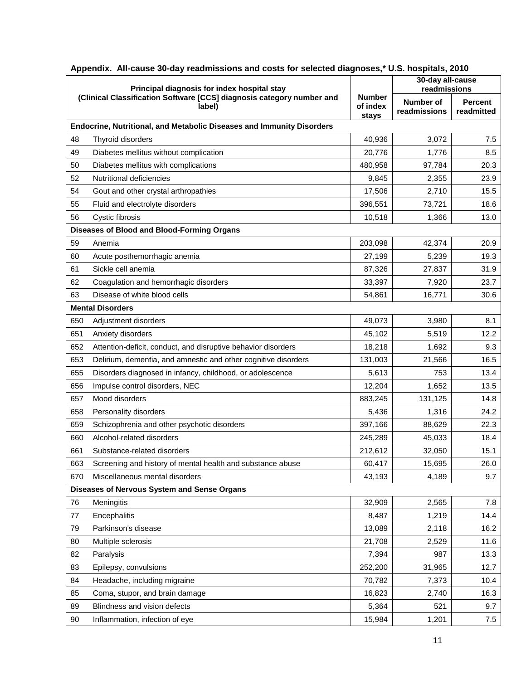|     | Principal diagnosis for index hospital stay                                     |                                    | 30-day all-cause<br>readmissions |                              |  |
|-----|---------------------------------------------------------------------------------|------------------------------------|----------------------------------|------------------------------|--|
|     | (Clinical Classification Software [CCS] diagnosis category number and<br>label) | <b>Number</b><br>of index<br>stays | Number of<br>readmissions        | <b>Percent</b><br>readmitted |  |
|     | Endocrine, Nutritional, and Metabolic Diseases and Immunity Disorders           |                                    |                                  |                              |  |
| 48  | Thyroid disorders                                                               | 40,936                             | 3,072                            | 7.5                          |  |
| 49  | Diabetes mellitus without complication                                          | 20,776                             | 1,776                            | 8.5                          |  |
| 50  | Diabetes mellitus with complications                                            | 480,958                            | 97,784                           | 20.3                         |  |
| 52  | Nutritional deficiencies                                                        | 9,845                              | 2,355                            | 23.9                         |  |
| 54  | Gout and other crystal arthropathies                                            | 17,506                             | 2,710                            | 15.5                         |  |
| 55  | Fluid and electrolyte disorders                                                 | 396,551                            | 73,721                           | 18.6                         |  |
| 56  | Cystic fibrosis                                                                 | 10,518                             | 1,366                            | 13.0                         |  |
|     | Diseases of Blood and Blood-Forming Organs                                      |                                    |                                  |                              |  |
| 59  | Anemia                                                                          | 203,098                            | 42,374                           | 20.9                         |  |
| 60  | Acute posthemorrhagic anemia                                                    | 27,199                             | 5,239                            | 19.3                         |  |
| 61  | Sickle cell anemia                                                              | 87,326                             | 27,837                           | 31.9                         |  |
| 62  | Coagulation and hemorrhagic disorders                                           | 33,397                             | 7,920                            | 23.7                         |  |
| 63  | Disease of white blood cells                                                    | 54,861                             | 16,771                           | 30.6                         |  |
|     | <b>Mental Disorders</b>                                                         |                                    |                                  |                              |  |
| 650 | Adjustment disorders                                                            | 49,073                             | 3,980                            | 8.1                          |  |
| 651 | Anxiety disorders                                                               | 45,102                             | 5,519                            | 12.2                         |  |
| 652 | Attention-deficit, conduct, and disruptive behavior disorders                   | 18,218                             | 1,692                            | 9.3                          |  |
| 653 | Delirium, dementia, and amnestic and other cognitive disorders                  | 131,003                            | 21,566                           | 16.5                         |  |
| 655 | Disorders diagnosed in infancy, childhood, or adolescence                       | 5,613                              | 753                              | 13.4                         |  |
| 656 | Impulse control disorders, NEC                                                  | 12,204                             | 1,652                            | 13.5                         |  |
| 657 | Mood disorders                                                                  | 883,245                            | 131,125                          | 14.8                         |  |
| 658 | Personality disorders                                                           | 5,436                              | 1,316                            | 24.2                         |  |
| 659 | Schizophrenia and other psychotic disorders                                     | 397,166                            | 88,629                           | 22.3                         |  |
| 660 | Alcohol-related disorders                                                       | 245,289                            | 45,033                           | 18.4                         |  |
| 661 | Substance-related disorders                                                     | 212,612                            | 32,050                           | 15.1                         |  |
| 663 | Screening and history of mental health and substance abuse                      | 60,417                             | 15,695                           | 26.0                         |  |
| 670 | Miscellaneous mental disorders                                                  | 43,193                             | 4,189                            | 9.7                          |  |
|     | Diseases of Nervous System and Sense Organs                                     |                                    |                                  |                              |  |
| 76  | Meningitis                                                                      | 32,909                             | 2,565                            | 7.8                          |  |
| 77  | Encephalitis                                                                    | 8,487                              | 1,219                            | 14.4                         |  |
| 79  | Parkinson's disease                                                             | 13,089                             | 2,118                            | 16.2                         |  |
| 80  | Multiple sclerosis                                                              | 21,708                             | 2,529                            | 11.6                         |  |
| 82  | Paralysis                                                                       | 7,394                              | 987                              | 13.3                         |  |
| 83  | Epilepsy, convulsions                                                           | 252,200                            | 31,965                           | 12.7                         |  |
| 84  | Headache, including migraine                                                    | 70,782                             | 7,373                            | 10.4                         |  |
| 85  | Coma, stupor, and brain damage                                                  | 16,823                             | 2,740                            | 16.3                         |  |
| 89  | Blindness and vision defects                                                    | 5,364                              | 521                              | 9.7                          |  |
| 90  | Inflammation, infection of eye                                                  | 15,984                             | 1,201                            | 7.5                          |  |

| Appendix. All-cause 30-day readmissions and costs for selected diagnoses,* U.S. hospitals, 2010 |  |  |  |  |
|-------------------------------------------------------------------------------------------------|--|--|--|--|
|                                                                                                 |  |  |  |  |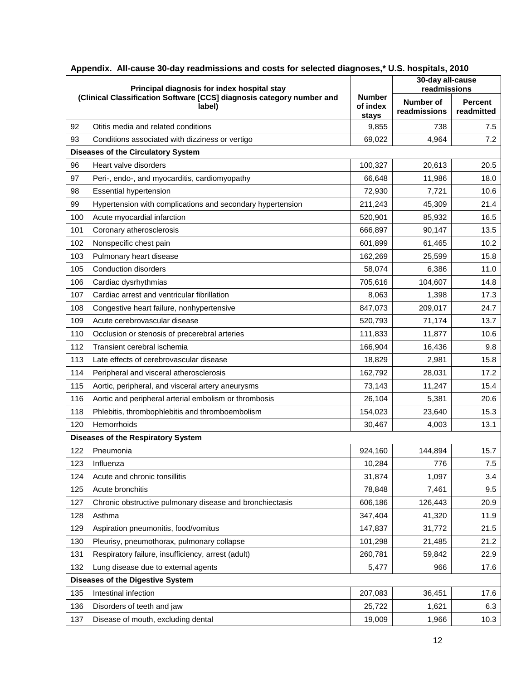| Principal diagnosis for index hospital stay |                                                                                 |                           | 30-day all-cause<br>readmissions |                              |
|---------------------------------------------|---------------------------------------------------------------------------------|---------------------------|----------------------------------|------------------------------|
|                                             | (Clinical Classification Software [CCS] diagnosis category number and<br>label) | <b>Number</b><br>of index | Number of<br>readmissions        | <b>Percent</b><br>readmitted |
| 92                                          | Otitis media and related conditions                                             | stays<br>9,855            | 738                              | 7.5                          |
| 93                                          | Conditions associated with dizziness or vertigo                                 | 69,022                    | 4,964                            | 7.2                          |
|                                             | <b>Diseases of the Circulatory System</b>                                       |                           |                                  |                              |
| 96                                          | Heart valve disorders                                                           | 100,327                   | 20,613                           | 20.5                         |
| 97                                          | Peri-, endo-, and myocarditis, cardiomyopathy                                   | 66,648                    | 11,986                           | 18.0                         |
| 98                                          | <b>Essential hypertension</b>                                                   | 72,930                    | 7,721                            | 10.6                         |
| 99                                          | Hypertension with complications and secondary hypertension                      | 211,243                   | 45,309                           | 21.4                         |
| 100                                         | Acute myocardial infarction                                                     | 520,901                   | 85,932                           | 16.5                         |
| 101                                         | Coronary atherosclerosis                                                        | 666,897                   | 90,147                           | 13.5                         |
| 102                                         | Nonspecific chest pain                                                          | 601,899                   | 61,465                           | 10.2                         |
| 103                                         | Pulmonary heart disease                                                         | 162,269                   | 25,599                           | 15.8                         |
| 105                                         | <b>Conduction disorders</b>                                                     | 58,074                    | 6,386                            | 11.0                         |
| 106                                         | Cardiac dysrhythmias                                                            | 705,616                   | 104,607                          | 14.8                         |
| 107                                         | Cardiac arrest and ventricular fibrillation                                     | 8,063                     | 1,398                            | 17.3                         |
| 108                                         | Congestive heart failure, nonhypertensive                                       | 847,073                   | 209,017                          | 24.7                         |
| 109                                         | Acute cerebrovascular disease                                                   | 520,793                   | 71,174                           | 13.7                         |
| 110                                         | Occlusion or stenosis of precerebral arteries                                   | 111,833                   | 11,877                           | 10.6                         |
| 112                                         | Transient cerebral ischemia                                                     | 166,904                   | 16,436                           | 9.8                          |
| 113                                         | Late effects of cerebrovascular disease                                         | 18,829                    | 2,981                            | 15.8                         |
| 114                                         | Peripheral and visceral atherosclerosis                                         | 162,792                   | 28,031                           | 17.2                         |
| 115                                         | Aortic, peripheral, and visceral artery aneurysms                               | 73,143                    | 11,247                           | 15.4                         |
| 116                                         | Aortic and peripheral arterial embolism or thrombosis                           | 26,104                    | 5,381                            | 20.6                         |
| 118                                         | Phlebitis, thrombophlebitis and thromboembolism                                 | 154,023                   | 23,640                           | 15.3                         |
| 120                                         | Hemorrhoids                                                                     | 30,467                    | 4,003                            | 13.1                         |
|                                             | <b>Diseases of the Respiratory System</b>                                       |                           |                                  |                              |
| 122                                         | Pneumonia                                                                       | 924,160                   | 144,894                          | 15.7                         |
| 123                                         | Influenza                                                                       | 10,284                    | 776                              | 7.5                          |
| 124                                         | Acute and chronic tonsillitis                                                   | 31,874                    | 1,097                            | 3.4                          |
| 125                                         | Acute bronchitis                                                                | 78,848                    | 7,461                            | 9.5                          |
| 127                                         | Chronic obstructive pulmonary disease and bronchiectasis                        | 606,186                   | 126,443                          | 20.9                         |
| 128                                         | Asthma                                                                          | 347,404                   | 41,320                           | 11.9                         |
| 129                                         | Aspiration pneumonitis, food/vomitus                                            | 147,837                   | 31,772                           | 21.5                         |
| 130                                         | Pleurisy, pneumothorax, pulmonary collapse                                      | 101,298                   | 21,485                           | 21.2                         |
| 131                                         | Respiratory failure, insufficiency, arrest (adult)                              | 260,781                   | 59,842                           | 22.9                         |
| 132                                         | Lung disease due to external agents                                             | 5,477                     | 966                              | 17.6                         |
|                                             | <b>Diseases of the Digestive System</b>                                         |                           |                                  |                              |
| 135                                         | Intestinal infection                                                            | 207,083                   | 36,451                           | 17.6                         |
| 136                                         | Disorders of teeth and jaw                                                      | 25,722                    | 1,621                            | 6.3                          |
| 137                                         | Disease of mouth, excluding dental                                              | 19,009                    | 1,966                            | 10.3                         |

| Appendix. All-cause 30-day readmissions and costs for selected diagnoses,* U.S. hospitals, 2010 |
|-------------------------------------------------------------------------------------------------|
|-------------------------------------------------------------------------------------------------|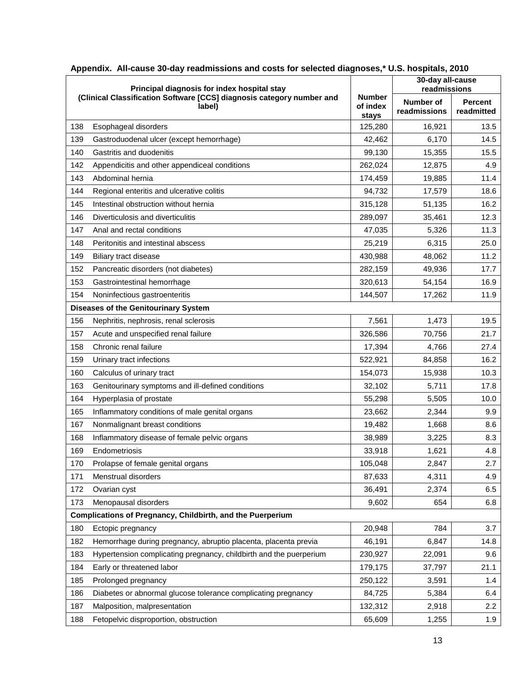|                                                            | Principal diagnosis for index hospital stay                                     |                                    | 30-day all-cause<br>readmissions |                              |  |
|------------------------------------------------------------|---------------------------------------------------------------------------------|------------------------------------|----------------------------------|------------------------------|--|
|                                                            | (Clinical Classification Software [CCS] diagnosis category number and<br>label) | <b>Number</b><br>of index<br>stays | Number of<br>readmissions        | <b>Percent</b><br>readmitted |  |
| 138                                                        | Esophageal disorders                                                            | 125,280                            | 16,921                           | 13.5                         |  |
| 139                                                        | Gastroduodenal ulcer (except hemorrhage)                                        | 42,462                             | 6,170                            | 14.5                         |  |
| 140                                                        | Gastritis and duodenitis                                                        | 99,130                             | 15,355                           | 15.5                         |  |
| 142                                                        | Appendicitis and other appendiceal conditions                                   | 262,024                            | 12,875                           | 4.9                          |  |
| 143                                                        | Abdominal hernia                                                                | 174,459                            | 19,885                           | 11.4                         |  |
| 144                                                        | Regional enteritis and ulcerative colitis                                       | 94,732                             | 17,579                           | 18.6                         |  |
| 145                                                        | Intestinal obstruction without hernia                                           | 315,128                            | 51,135                           | 16.2                         |  |
| 146                                                        | Diverticulosis and diverticulitis                                               | 289,097                            | 35,461                           | 12.3                         |  |
| 147                                                        | Anal and rectal conditions                                                      | 47,035                             | 5,326                            | 11.3                         |  |
| 148                                                        | Peritonitis and intestinal abscess                                              | 25,219                             | 6,315                            | 25.0                         |  |
| 149                                                        | Biliary tract disease                                                           | 430,988                            | 48,062                           | 11.2                         |  |
| 152                                                        | Pancreatic disorders (not diabetes)                                             | 282,159                            | 49,936                           | 17.7                         |  |
| 153                                                        | Gastrointestinal hemorrhage                                                     | 320,613                            | 54,154                           | 16.9                         |  |
| 154                                                        | Noninfectious gastroenteritis                                                   | 144,507                            | 17,262                           | 11.9                         |  |
| <b>Diseases of the Genitourinary System</b>                |                                                                                 |                                    |                                  |                              |  |
| 156                                                        | Nephritis, nephrosis, renal sclerosis                                           | 7,561                              | 1,473                            | 19.5                         |  |
| 157                                                        | Acute and unspecified renal failure                                             | 326,586                            | 70,756                           | 21.7                         |  |
| 158                                                        | Chronic renal failure                                                           | 17,394                             | 4,766                            | 27.4                         |  |
| 159                                                        | Urinary tract infections                                                        | 522,921                            | 84,858                           | 16.2                         |  |
| 160                                                        | Calculus of urinary tract                                                       | 154,073                            | 15,938                           | 10.3                         |  |
| 163                                                        | Genitourinary symptoms and ill-defined conditions                               | 32,102                             | 5,711                            | 17.8                         |  |
| 164                                                        | Hyperplasia of prostate                                                         | 55,298                             | 5,505                            | 10.0                         |  |
| 165                                                        | Inflammatory conditions of male genital organs                                  | 23,662                             | 2,344                            | 9.9                          |  |
| 167                                                        | Nonmalignant breast conditions                                                  | 19,482                             | 1,668                            | 8.6                          |  |
| 168                                                        | Inflammatory disease of female pelvic organs                                    | 38,989                             | 3,225                            | 8.3                          |  |
| 169                                                        | Endometriosis                                                                   | 33,918                             | 1,621                            | 4.8                          |  |
| 170                                                        | Prolapse of female genital organs                                               | 105,048                            | 2,847                            | 2.7                          |  |
| 171                                                        | Menstrual disorders                                                             | 87,633                             | 4,311                            | 4.9                          |  |
| 172                                                        | Ovarian cyst                                                                    | 36,491                             | 2,374                            | 6.5                          |  |
| 173                                                        | Menopausal disorders                                                            | 9,602                              | 654                              | 6.8                          |  |
| Complications of Pregnancy, Childbirth, and the Puerperium |                                                                                 |                                    |                                  |                              |  |
| 180                                                        | Ectopic pregnancy                                                               | 20,948                             | 784                              | 3.7                          |  |
| 182                                                        | Hemorrhage during pregnancy, abruptio placenta, placenta previa                 | 46,191                             | 6,847                            | 14.8                         |  |
| 183                                                        | Hypertension complicating pregnancy, childbirth and the puerperium              | 230,927                            | 22,091                           | 9.6                          |  |
| 184                                                        | Early or threatened labor                                                       | 179,175                            | 37,797                           | 21.1                         |  |
| 185                                                        | Prolonged pregnancy                                                             | 250,122                            | 3,591                            | 1.4                          |  |
| 186                                                        | Diabetes or abnormal glucose tolerance complicating pregnancy                   | 84,725                             | 5,384                            | 6.4                          |  |
| 187                                                        | Malposition, malpresentation                                                    | 132,312                            | 2,918                            | 2.2                          |  |
| 188                                                        | Fetopelvic disproportion, obstruction                                           | 65,609                             | 1,255                            | 1.9                          |  |

| Appendix. All-cause 30-day readmissions and costs for selected diagnoses,* U.S. hospitals, 2010 |  |  |  |  |  |  |
|-------------------------------------------------------------------------------------------------|--|--|--|--|--|--|
|-------------------------------------------------------------------------------------------------|--|--|--|--|--|--|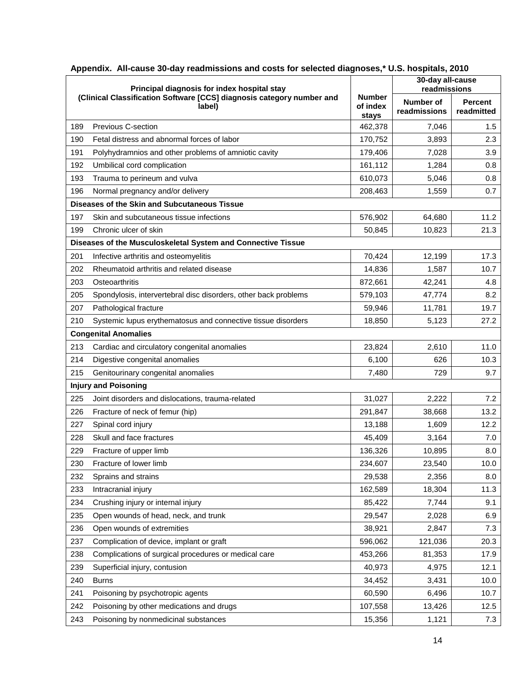|     | Principal diagnosis for index hospital stay                                     |                                    | 30-day all-cause<br>readmissions |                              |
|-----|---------------------------------------------------------------------------------|------------------------------------|----------------------------------|------------------------------|
|     | (Clinical Classification Software [CCS] diagnosis category number and<br>label) | <b>Number</b><br>of index<br>stays | Number of<br>readmissions        | <b>Percent</b><br>readmitted |
| 189 | Previous C-section                                                              | 462,378                            | 7,046                            | 1.5                          |
| 190 | Fetal distress and abnormal forces of labor                                     | 170,752                            | 3,893                            | 2.3                          |
| 191 | Polyhydramnios and other problems of amniotic cavity                            | 179,406                            | 7,028                            | 3.9                          |
| 192 | Umbilical cord complication                                                     | 161,112                            | 1,284                            | 0.8                          |
| 193 | Trauma to perineum and vulva                                                    | 610,073                            | 5,046                            | 0.8                          |
| 196 | Normal pregnancy and/or delivery                                                | 208,463                            | 1,559                            | 0.7                          |
|     | Diseases of the Skin and Subcutaneous Tissue                                    |                                    |                                  |                              |
| 197 | Skin and subcutaneous tissue infections                                         | 576,902                            | 64,680                           | 11.2                         |
| 199 | Chronic ulcer of skin                                                           | 50,845                             | 10,823                           | 21.3                         |
|     | Diseases of the Musculoskeletal System and Connective Tissue                    |                                    |                                  |                              |
| 201 | Infective arthritis and osteomyelitis                                           | 70,424                             | 12,199                           | 17.3                         |
| 202 | Rheumatoid arthritis and related disease                                        | 14,836                             | 1,587                            | 10.7                         |
| 203 | Osteoarthritis                                                                  | 872,661                            | 42,241                           | 4.8                          |
| 205 | Spondylosis, intervertebral disc disorders, other back problems                 | 579,103                            | 47,774                           | 8.2                          |
| 207 | Pathological fracture                                                           | 59,946                             | 11,781                           | 19.7                         |
| 210 | Systemic lupus erythematosus and connective tissue disorders                    | 18,850                             | 5,123                            | 27.2                         |
|     | <b>Congenital Anomalies</b>                                                     |                                    |                                  |                              |
| 213 | Cardiac and circulatory congenital anomalies                                    | 23,824                             | 2,610                            | 11.0                         |
| 214 | Digestive congenital anomalies                                                  | 6,100                              | 626                              | 10.3                         |
| 215 | Genitourinary congenital anomalies                                              | 7,480                              | 729                              | 9.7                          |
|     | <b>Injury and Poisoning</b>                                                     |                                    |                                  |                              |
| 225 | Joint disorders and dislocations, trauma-related                                | 31,027                             | 2,222                            | 7.2                          |
| 226 | Fracture of neck of femur (hip)                                                 | 291,847                            | 38,668                           | 13.2                         |
| 227 | Spinal cord injury                                                              | 13,188                             | 1,609                            | 12.2                         |
| 228 | Skull and face fractures                                                        | 45,409                             | 3,164                            | 7.0                          |
| 229 | Fracture of upper limb                                                          | 136,326                            | 10,895                           | 8.0                          |
| 230 | Fracture of lower limb                                                          | 234,607                            | 23,540                           | 10.0                         |
| 232 | Sprains and strains                                                             | 29,538                             | 2,356                            | 8.0                          |
| 233 | Intracranial injury                                                             | 162,589                            | 18,304                           | 11.3                         |
| 234 | Crushing injury or internal injury                                              | 85,422                             | 7,744                            | 9.1                          |
| 235 | Open wounds of head, neck, and trunk                                            | 29,547                             | 2,028                            | 6.9                          |
| 236 | Open wounds of extremities                                                      | 38,921                             | 2,847                            | 7.3                          |
| 237 | Complication of device, implant or graft                                        | 596,062                            | 121,036                          | 20.3                         |
| 238 | Complications of surgical procedures or medical care                            | 453,266                            | 81,353                           | 17.9                         |
| 239 | Superficial injury, contusion                                                   | 40,973                             | 4,975                            | 12.1                         |
| 240 | <b>Burns</b>                                                                    | 34,452                             | 3,431                            | 10.0                         |
| 241 | Poisoning by psychotropic agents                                                | 60,590                             | 6,496                            | 10.7                         |
| 242 | Poisoning by other medications and drugs                                        | 107,558                            | 13,426                           | 12.5                         |
| 243 | Poisoning by nonmedicinal substances                                            | 15,356                             | 1,121                            | 7.3                          |

| Appendix. All-cause 30-day readmissions and costs for selected diagnoses,* U.S. hospitals, 2010 |  |
|-------------------------------------------------------------------------------------------------|--|
|                                                                                                 |  |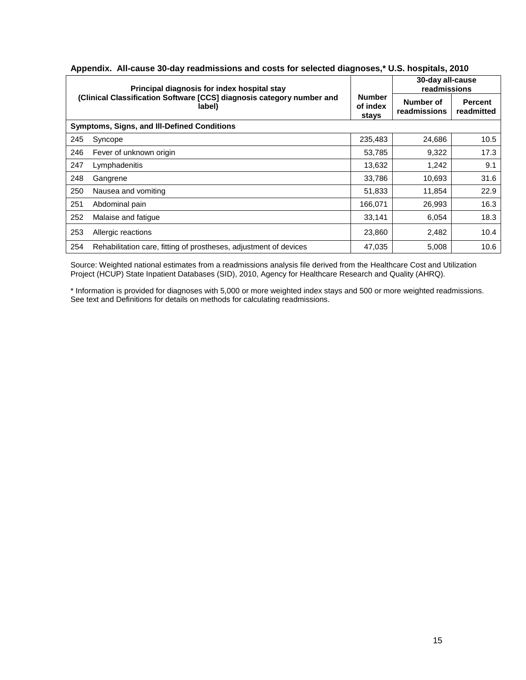| Principal diagnosis for index hospital stay<br>(Clinical Classification Software [CCS] diagnosis category number and<br>label) |                                                                   |                                    | 30-day all-cause<br>readmissions |                              |
|--------------------------------------------------------------------------------------------------------------------------------|-------------------------------------------------------------------|------------------------------------|----------------------------------|------------------------------|
|                                                                                                                                |                                                                   | <b>Number</b><br>of index<br>stays | Number of<br>readmissions        | <b>Percent</b><br>readmitted |
| <b>Symptoms, Signs, and III-Defined Conditions</b>                                                                             |                                                                   |                                    |                                  |                              |
| 245                                                                                                                            | Syncope                                                           | 235,483                            | 24,686                           | 10.5                         |
| 246                                                                                                                            | Fever of unknown origin                                           | 53,785                             | 9,322                            | 17.3                         |
| 247                                                                                                                            | Lymphadenitis                                                     | 13,632                             | 1,242                            | 9.1                          |
| 248                                                                                                                            | Gangrene                                                          | 33,786                             | 10,693                           | 31.6                         |
| 250                                                                                                                            | Nausea and vomiting                                               | 51,833                             | 11,854                           | 22.9                         |
| 251                                                                                                                            | Abdominal pain                                                    | 166,071                            | 26,993                           | 16.3                         |
| 252                                                                                                                            | Malaise and fatique                                               | 33,141                             | 6,054                            | 18.3                         |
| 253                                                                                                                            | Allergic reactions                                                | 23,860                             | 2,482                            | 10.4                         |
| 254                                                                                                                            | Rehabilitation care, fitting of prostheses, adjustment of devices | 47,035                             | 5,008                            | 10.6                         |

#### **Appendix. All-cause 30-day readmissions and costs for selected diagnoses,\* U.S. hospitals, 2010**

Source: Weighted national estimates from a readmissions analysis file derived from the Healthcare Cost and Utilization Project (HCUP) State Inpatient Databases (SID), 2010, Agency for Healthcare Research and Quality (AHRQ).

\* Information is provided for diagnoses with 5,000 or more weighted index stays and 500 or more weighted readmissions. See text and Definitions for details on methods for calculating readmissions.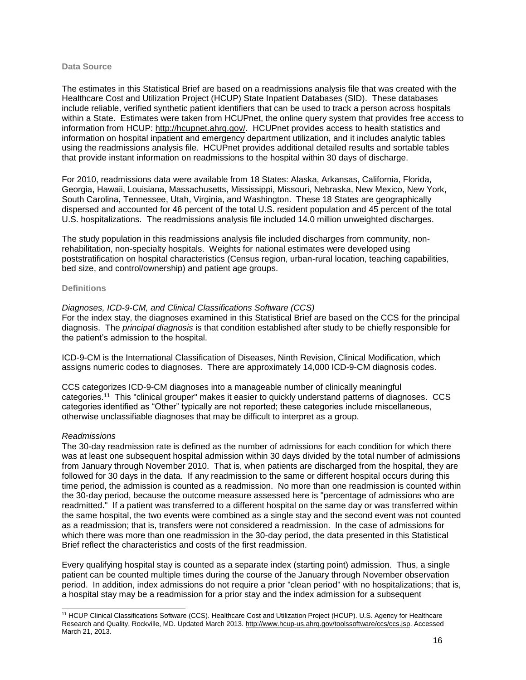#### **Data Source**

The estimates in this Statistical Brief are based on a readmissions analysis file that was created with the Healthcare Cost and Utilization Project (HCUP) State Inpatient Databases (SID). These databases include reliable, verified synthetic patient identifiers that can be used to track a person across hospitals within a State. Estimates were taken from HCUPnet, the online query system that provides free access to information from HCUP: [http://hcupnet.ahrq.gov/.](http://hcupnet.ahrq.gov/) HCUPnet provides access to health statistics and information on hospital inpatient and emergency department utilization, and it includes analytic tables using the readmissions analysis file. HCUPnet provides additional detailed results and sortable tables that provide instant information on readmissions to the hospital within 30 days of discharge.

For 2010, readmissions data were available from 18 States: Alaska, Arkansas, California, Florida, Georgia, Hawaii, Louisiana, Massachusetts, Mississippi, Missouri, Nebraska, New Mexico, New York, South Carolina, Tennessee, Utah, Virginia, and Washington. These 18 States are geographically dispersed and accounted for 46 percent of the total U.S. resident population and 45 percent of the total U.S. hospitalizations. The readmissions analysis file included 14.0 million unweighted discharges.

The study population in this readmissions analysis file included discharges from community, nonrehabilitation, non-specialty hospitals. Weights for national estimates were developed using poststratification on hospital characteristics (Census region, urban-rural location, teaching capabilities, bed size, and control/ownership) and patient age groups.

#### **Definitions**

#### *Diagnoses, ICD-9-CM, and Clinical Classifications Software (CCS)*

For the index stay, the diagnoses examined in this Statistical Brief are based on the CCS for the principal diagnosis. The *principal diagnosis* is that condition established after study to be chiefly responsible for the patient's admission to the hospital.

ICD-9-CM is the International Classification of Diseases, Ninth Revision, Clinical Modification, which assigns numeric codes to diagnoses. There are approximately 14,000 ICD-9-CM diagnosis codes.

CCS categorizes ICD-9-CM diagnoses into a manageable number of clinically meaningful categories.<sup>11</sup> This "clinical grouper" makes it easier to quickly understand patterns of diagnoses. CCS categories identified as "Other" typically are not reported; these categories include miscellaneous, otherwise unclassifiable diagnoses that may be difficult to interpret as a group.

#### *Readmissions*

The 30-day readmission rate is defined as the number of admissions for each condition for which there was at least one subsequent hospital admission within 30 days divided by the total number of admissions from January through November 2010. That is, when patients are discharged from the hospital, they are followed for 30 days in the data. If any readmission to the same or different hospital occurs during this time period, the admission is counted as a readmission. No more than one readmission is counted within the 30-day period, because the outcome measure assessed here is "percentage of admissions who are readmitted." If a patient was transferred to a different hospital on the same day or was transferred within the same hospital, the two events were combined as a single stay and the second event was not counted as a readmission; that is, transfers were not considered a readmission. In the case of admissions for which there was more than one readmission in the 30-day period, the data presented in this Statistical Brief reflect the characteristics and costs of the first readmission.

Every qualifying hospital stay is counted as a separate index (starting point) admission. Thus, a single patient can be counted multiple times during the course of the January through November observation period. In addition, index admissions do not require a prior "clean period" with no hospitalizations; that is, a hospital stay may be a readmission for a prior stay and the index admission for a subsequent

l <sup>11</sup> HCUP Clinical Classifications Software (CCS). Healthcare Cost and Utilization Project (HCUP). U.S. Agency for Healthcare Research and Quality, Rockville, MD. Updated March 2013. [http://www.hcup-us.ahrq.gov/toolssoftware/ccs/ccs.jsp.](http://www.hcup-us.ahrq.gov/toolssoftware/ccs/ccs.jsp) Accessed March 21, 2013.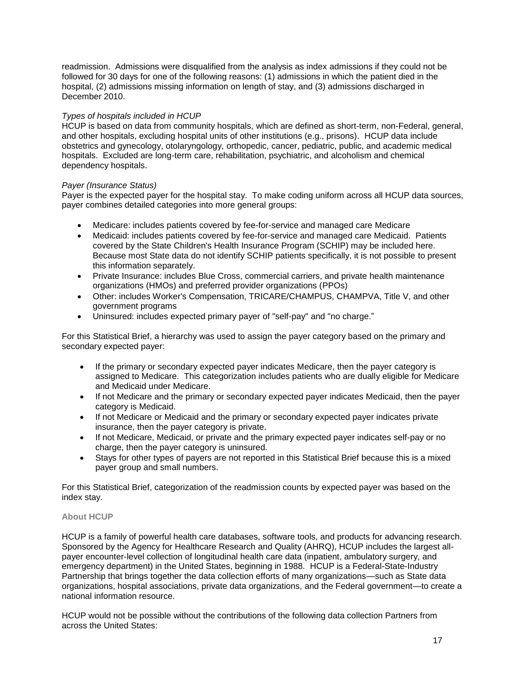readmission. Admissions were disqualified from the analysis as index admissions if they could not be followed for 30 days for one of the following reasons: (1) admissions in which the patient died in the hospital, (2) admissions missing information on length of stay, and (3) admissions discharged in December 2010.

#### *Types of hospitals included in HCUP*

HCUP is based on data from community hospitals, which are defined as short-term, non-Federal, general, and other hospitals, excluding hospital units of other institutions (e.g., prisons). HCUP data include obstetrics and gynecology, otolaryngology, orthopedic, cancer, pediatric, public, and academic medical hospitals. Excluded are long-term care, rehabilitation, psychiatric, and alcoholism and chemical dependency hospitals.

#### *Payer (Insurance Status)*

Payer is the expected payer for the hospital stay. To make coding uniform across all HCUP data sources, payer combines detailed categories into more general groups:

- Medicare: includes patients covered by fee-for-service and managed care Medicare
- Medicaid: includes patients covered by fee-for-service and managed care Medicaid. Patients covered by the State Children's Health Insurance Program (SCHIP) may be included here. Because most State data do not identify SCHIP patients specifically, it is not possible to present this information separately.
- Private Insurance: includes Blue Cross, commercial carriers, and private health maintenance organizations (HMOs) and preferred provider organizations (PPOs)
- Other: includes Worker's Compensation, TRICARE/CHAMPUS, CHAMPVA, Title V, and other government programs
- Uninsured: includes expected primary payer of "self-pay" and "no charge."

For this Statistical Brief, a hierarchy was used to assign the payer category based on the primary and secondary expected payer:

- If the primary or secondary expected payer indicates Medicare, then the payer category is assigned to Medicare. This categorization includes patients who are dually eligible for Medicare and Medicaid under Medicare.
- If not Medicare and the primary or secondary expected payer indicates Medicaid, then the payer category is Medicaid.
- If not Medicare or Medicaid and the primary or secondary expected payer indicates private insurance, then the payer category is private.
- If not Medicare, Medicaid, or private and the primary expected payer indicates self-pay or no charge, then the payer category is uninsured.
- Stays for other types of payers are not reported in this Statistical Brief because this is a mixed payer group and small numbers.

For this Statistical Brief, categorization of the readmission counts by expected payer was based on the index stay.

#### **About HCUP**

HCUP is a family of powerful health care databases, software tools, and products for advancing research. Sponsored by the Agency for Healthcare Research and Quality (AHRQ), HCUP includes the largest allpayer encounter-level collection of longitudinal health care data (inpatient, ambulatory surgery, and emergency department) in the United States, beginning in 1988. HCUP is a Federal-State-Industry Partnership that brings together the data collection efforts of many organizations—such as State data organizations, hospital associations, private data organizations, and the Federal government—to create a national information resource.

HCUP would not be possible without the contributions of the following data collection Partners from across the United States: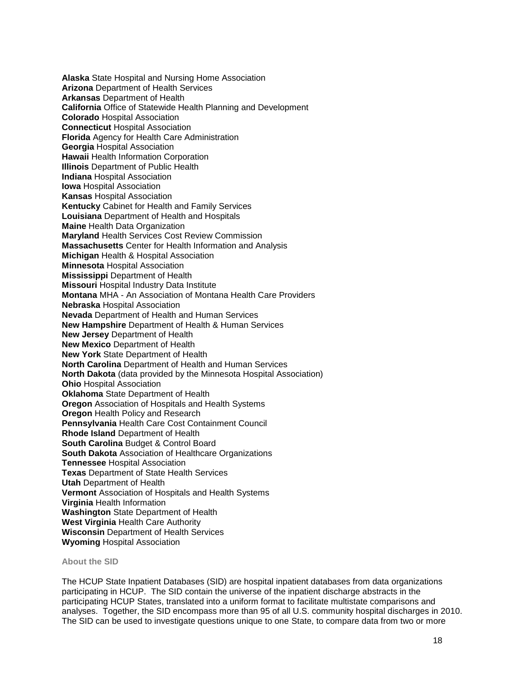**Alaska** State Hospital and Nursing Home Association **Arizona** Department of Health Services **Arkansas** Department of Health **California** Office of Statewide Health Planning and Development **Colorado** Hospital Association **Connecticut** Hospital Association **Florida** Agency for Health Care Administration **Georgia** Hospital Association **Hawaii** Health Information Corporation **Illinois** Department of Public Health **Indiana** Hospital Association **Iowa** Hospital Association **Kansas** Hospital Association **Kentucky** Cabinet for Health and Family Services **Louisiana** Department of Health and Hospitals **Maine** Health Data Organization **Maryland** Health Services Cost Review Commission **Massachusetts** Center for Health Information and Analysis **Michigan** Health & Hospital Association **Minnesota** Hospital Association **Mississippi** Department of Health **Missouri** Hospital Industry Data Institute **Montana** MHA - An Association of Montana Health Care Providers **Nebraska** Hospital Association **Nevada** Department of Health and Human Services **New Hampshire** Department of Health & Human Services **New Jersey** Department of Health **New Mexico** Department of Health **New York** State Department of Health **North Carolina** Department of Health and Human Services **North Dakota** (data provided by the Minnesota Hospital Association) **Ohio** Hospital Association **Oklahoma** State Department of Health **Oregon** Association of Hospitals and Health Systems **Oregon** Health Policy and Research **Pennsylvania** Health Care Cost Containment Council **Rhode Island** Department of Health **South Carolina** Budget & Control Board **South Dakota** Association of Healthcare Organizations **Tennessee** Hospital Association **Texas** Department of State Health Services **Utah** Department of Health **Vermont** Association of Hospitals and Health Systems **Virginia** Health Information **Washington** State Department of Health **West Virginia** Health Care Authority **Wisconsin** Department of Health Services **Wyoming** Hospital Association

#### **About the SID**

The HCUP State Inpatient Databases (SID) are hospital inpatient databases from data organizations participating in HCUP. The SID contain the universe of the inpatient discharge abstracts in the participating HCUP States, translated into a uniform format to facilitate multistate comparisons and analyses. Together, the SID encompass more than 95 of all U.S. community hospital discharges in 2010. The SID can be used to investigate questions unique to one State, to compare data from two or more